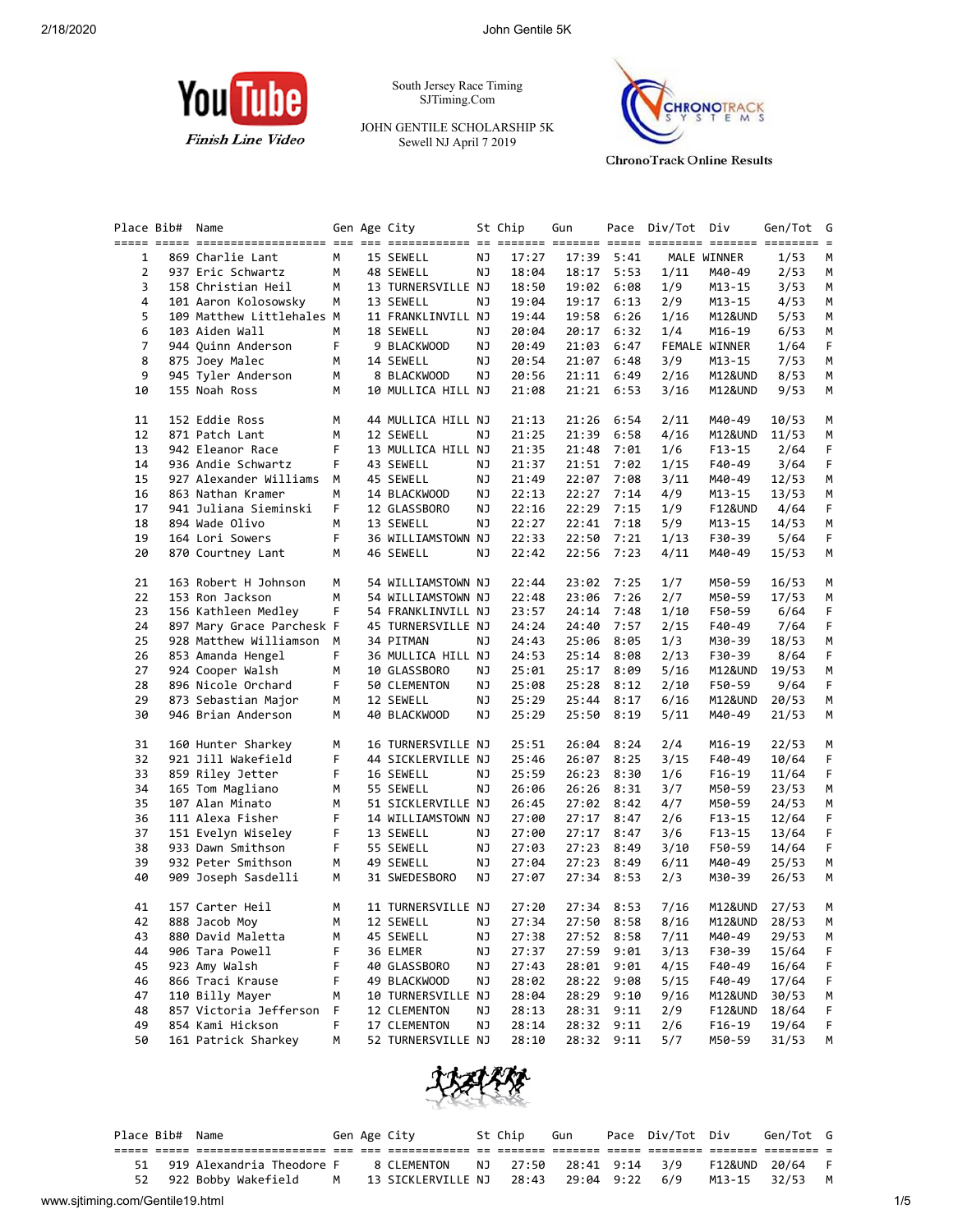

South Jersey Race Timing SJTiming.Com

JOHN GENTILE SCHOLARSHIP 5K Sewell NJ April 7 2019



**ChronoTrack Online Results** 

| Place Bib#     | Gen Age City<br>St Chip<br>Gun<br>Name |        |                                 | Pace Div/Tot Div |                | Gen/Tot G      | $=$          |              |                      |               |        |
|----------------|----------------------------------------|--------|---------------------------------|------------------|----------------|----------------|--------------|--------------|----------------------|---------------|--------|
| 1              | 869 Charlie Lant                       | М      | 15 SEWELL                       | ΝJ               | 17:27          | 17:39          | 5:41         |              | MALE WINNER          | 1/53          | М      |
| 2              | 937 Eric Schwartz                      | М      | 48 SEWELL                       | ΝJ               | 18:04          | 18:17 5:53     |              | 1/11         | M40-49               | 2/53          | М      |
| 3              | 158 Christian Heil                     | М      | 13 TURNERSVILLE NJ              |                  | 18:50          | 19:02 6:08     |              | 1/9          | M13-15               | 3/53          | М      |
| 4              | 101 Aaron Kolosowsky                   | м      | 13 SEWELL                       | ΝJ               | 19:04          | 19:17          | 6:13         | 2/9          | M13-15               | 4/53          | М      |
| 5              | 109 Matthew Littlehales M              |        | 11 FRANKLINVILL NJ              |                  | 19:44          | 19:58          | 6:26         | 1/16         | M12&UND              | 5/53          | М      |
| 6              | 103 Aiden Wall                         | М      | 18 SEWELL                       | NJ               | 20:04          | 20:17          | 6:32         | 1/4          | M16-19               | 6/53          | М      |
| $\overline{7}$ | 944 Quinn Anderson                     | F      | 9 BLACKWOOD                     | ΝJ               | 20:49          | 21:03          | 6:47         |              | <b>FEMALE WINNER</b> | 1/64          | F      |
| 8              | 875 Joey Malec                         | М      | 14 SEWELL                       | ΝJ               | 20:54          | 21:07          | 6:48         | 3/9          | M13-15               | 7/53          | М      |
| 9              | 945 Tyler Anderson                     | М      | 8 BLACKWOOD                     | ΝJ               | 20:56          | 21:11          | 6:49         | 2/16         | M12&UND              | 8/53          | М      |
| 10             | 155 Noah Ross                          | М      | 10 MULLICA HILL NJ              |                  | 21:08          | 21:21          | 6:53         | 3/16         | M12&UND              | 9/53          | M      |
| 11             | 152 Eddie Ross                         | м      | 44 MULLICA HILL NJ              |                  | 21:13          | 21:26          | 6:54         | 2/11         | M40-49               | 10/53         | M      |
| 12             | 871 Patch Lant                         | М      | 12 SEWELL                       | ΝJ               | 21:25          | 21:39          | 6:58         | 4/16         | M12&UND              | 11/53         | М      |
| 13             | 942 Eleanor Race                       | F      | 13 MULLICA HILL NJ              |                  | 21:35          | 21:48          | 7:01         | 1/6          | F13-15               | 2/64          | F.     |
| 14             | 936 Andie Schwartz                     | F      | 43 SEWELL                       | ΝJ               | 21:37          | 21:51          | 7:02         | 1/15         | F40-49               | 3/64          | F      |
| 15             | 927 Alexander Williams                 | М      | 45 SEWELL                       | ΝJ               | 21:49          | 22:07          | 7:08         | 3/11         | M40-49               | 12/53         | М      |
| 16             | 863 Nathan Kramer                      | м      | 14 BLACKWOOD                    | ΝJ               | 22:13          | 22:27          | 7:14         | 4/9          | M13-15               | 13/53         | М      |
| 17             | 941 Juliana Sieminski                  | F      | 12 GLASSBORO                    | ΝJ               | 22:16          | 22:29          | 7:15         | 1/9          | F12&UND              | 4/64          | F      |
| 18             | 894 Wade Olivo                         | М      | 13 SEWELL                       | ΝJ               | 22:27          | 22:41          | 7:18         | 5/9          | M13-15               | 14/53         | М      |
| 19<br>20       | 164 Lori Sowers<br>870 Courtney Lant   | F<br>М | 36 WILLIAMSTOWN NJ<br>46 SEWELL | ΝJ               | 22:33<br>22:42 | 22:50<br>22:56 | 7:21<br>7:23 | 1/13<br>4/11 | F30-39<br>M40-49     | 5/64<br>15/53 | F<br>М |
| 21             | 163 Robert H Johnson                   | М      | 54 WILLIAMSTOWN NJ              |                  | 22:44          | 23:02          | 7:25         | 1/7          | M50-59               | 16/53         | M      |
| 22             | 153 Ron Jackson                        | M      | 54 WILLIAMSTOWN NJ              |                  | 22:48          | 23:06          | 7:26         | 2/7          | M50-59               | 17/53         | М      |
| 23             | 156 Kathleen Medley                    | F      | 54 FRANKLINVILL NJ              |                  | 23:57          | 24:14          | 7:48         | 1/10         | F50-59               | 6/64          | F      |
| 24             | 897 Mary Grace Parchesk F              |        | 45 TURNERSVILLE NJ              |                  | 24:24          | 24:40          | 7:57         | 2/15         | F40-49               | 7/64          | F      |
| 25             | 928 Matthew Williamson                 | M      | 34 PITMAN                       | ΝJ               | 24:43          | 25:06          | 8:05         | 1/3          | M30-39               | 18/53         | М      |
| 26             | 853 Amanda Hengel                      | F      | 36 MULLICA HILL NJ              |                  | 24:53          | 25:14 8:08     |              | 2/13         | F30-39               | 8/64          | F      |
| 27             | 924 Cooper Walsh                       | М      | 10 GLASSBORO                    | ΝJ               | 25:01          | 25:17          | 8:09         | 5/16         | M12&UND              | 19/53         | М      |
| 28             | 896 Nicole Orchard                     | F.     | 50 CLEMENTON                    | ΝJ               | 25:08          | 25:28          | 8:12         | 2/10         | F50-59               | 9/64          | F      |
| 29             | 873 Sebastian Major                    | М      | 12 SEWELL                       | ΝJ               | 25:29          | 25:44          | 8:17         | 6/16         | M12&UND              | 20/53         | М      |
| 30             | 946 Brian Anderson                     | М      | 40 BLACKWOOD                    | ΝJ               | 25:29          | 25:50          | 8:19         | 5/11         | M40-49               | 21/53         | М      |
| 31             | 160 Hunter Sharkey                     | м      | 16 TURNERSVILLE NJ              |                  | 25:51          | 26:04          | 8:24         | 2/4          | M16-19               | 22/53         | M      |
| 32             | 921 Jill Wakefield                     | F      | 44 SICKLERVILLE NJ              |                  | 25:46          | 26:07          | 8:25         | 3/15         | F40-49               | 10/64         | F      |
| 33             | 859 Riley Jetter                       | F      | 16 SEWELL                       | ΝJ               | 25:59          | 26:23          | 8:30         | 1/6          | $F16-19$             | 11/64         | F.     |
| 34             | 165 Tom Magliano                       | М      | 55 SEWELL                       | NJ               | 26:06          | 26:26          | 8:31         | 3/7          | M50-59               | 23/53         | М      |
| 35             | 107 Alan Minato                        | М      | 51 SICKLERVILLE NJ              |                  | 26:45          | 27:02          | 8:42         | 4/7          | M50-59               | 24/53         | М      |
| 36             | 111 Alexa Fisher                       | F      | 14 WILLIAMSTOWN NJ              |                  | 27:00          | 27:17          | 8:47         | 2/6          | F13-15               | 12/64         | F      |
| 37             | 151 Evelyn Wiseley                     | F      | 13 SEWELL                       | ΝJ               | 27:00          | 27:17          | 8:47         | 3/6          | F13-15               | 13/64         | F      |
| 38             | 933 Dawn Smithson                      | F      | 55 SEWELL                       | ΝJ               | 27:03          | 27:23          | 8:49         | 3/10         | F50-59               | 14/64         | F.     |
| 39             | 932 Peter Smithson                     | М      | 49 SEWELL                       | ΝJ               | 27:04          | 27:23          | 8:49         | 6/11         | M40-49               | 25/53         | М      |
| 40             | 909 Joseph Sasdelli                    | M      | 31 SWEDESBORO                   | ΝJ               | 27:07          | 27:34          | 8:53         | 2/3          | M30-39               | 26/53         | М      |
| 41             | 157 Carter Heil                        | м      | 11 TURNERSVILLE NJ              |                  | 27:20          | 27:34 8:53     |              | 7/16         | M12&UND              | 27/53         | M      |
| 42             | 888 Jacob Moy                          | M      | 12 SEWELL                       | ΝJ               | 27:34          | 27:50 8:58     |              | 8/16         | M12&UND              | 28/53         | М      |
| 43             | 880 David Maletta                      | М      | 45 SEWELL                       | ΝJ               | 27:38          | 27:52          | 8:58         | 7/11         | M40-49               | 29/53         | M      |
| 44             | 906 Tara Powell                        | F      | 36 ELMER                        | ΝJ               | 27:37          | 27:59          | 9:01         | 3/13         | F30-39               | 15/64         | F      |
| 45             | 923 Amy Walsh                          | F      | 40 GLASSBORO                    | ΝJ               | 27:43          | 28:01          | 9:01         | 4/15         | F40-49               | 16/64         | F      |
| 46             | 866 Traci Krause                       | F      | 49 BLACKWOOD                    | ΝJ               | 28:02          | 28:22          | 9:08         | 5/15         | F40-49               | 17/64         | F      |
| 47             | 110 Billy Mayer                        | М      | 10 TURNERSVILLE NJ              |                  | 28:04          | 28:29          | 9:10         | 9/16         | M12&UND              | 30/53         | М      |
| 48             | 857 Victoria Jefferson                 | F      | 12 CLEMENTON                    | ΝJ               | 28:13          | 28:31          | 9:11         | 2/9          | <b>F12&amp;UND</b>   | 18/64         | F      |
| 49             | 854 Kami Hickson                       | F      | 17 CLEMENTON                    | ΝJ               | 28:14          | 28:32          | 9:11         | 2/6          | $F16-19$             | 19/64         | F.     |
| 50             | 161 Patrick Sharkey                    | М      | 52 TURNERSVILLE NJ              |                  | 28:10          | 28:32          | 9:11         | 5/7          | M50-59               | 31/53         | М      |



|                                 |    | Place Bib# Name |                                                                  |  | Gen Age City                                                                            | St Chip | Gun | Pace Div/Tot Div | Gen/Tot G      |     |
|---------------------------------|----|-----------------|------------------------------------------------------------------|--|-----------------------------------------------------------------------------------------|---------|-----|------------------|----------------|-----|
|                                 |    |                 |                                                                  |  |                                                                                         |         |     |                  |                |     |
|                                 | 51 |                 | 919 Alexandria Theodore F                                        |  | 8 CLEMENTON       NJ      27:50     28:41    9:14     3/9       F12&UND    20/64      F |         |     |                  |                |     |
|                                 |    |                 | 52 922 Bobby Wakefield M 13 SICKLERVILLE NJ 28:43 29:04 9:22 6/9 |  |                                                                                         |         |     |                  | M13-15 32/53 M |     |
| www.sjtiming.com/Gentile19.html |    |                 |                                                                  |  |                                                                                         |         |     |                  |                | 1/5 |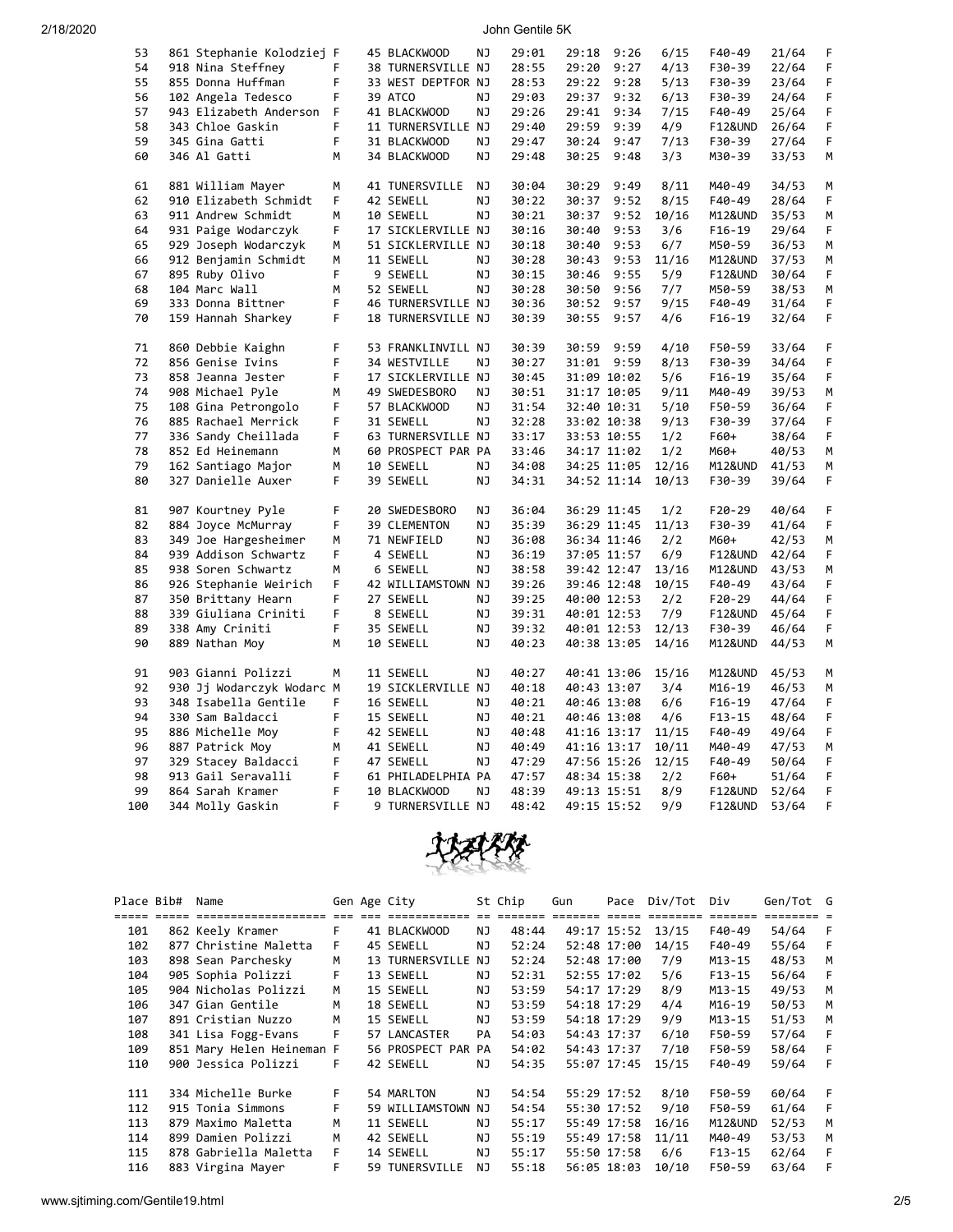2/18/2020 John Gentile 5K

| 53  | 861 Stephanie Kolodziej F |    | 45 BLACKWOOD       | ΝJ        | 29:01 | 29:18 | 9:26        | 6/15  | F40-49             | 21/64 | F  |
|-----|---------------------------|----|--------------------|-----------|-------|-------|-------------|-------|--------------------|-------|----|
| 54  | 918 Nina Steffney         | F  | 38 TURNERSVILLE NJ |           | 28:55 | 29:20 | 9:27        | 4/13  | F30-39             | 22/64 | F  |
| 55  | 855 Donna Huffman         | F  | 33 WEST DEPTFOR NJ |           | 28:53 | 29:22 | 9:28        | 5/13  | F30-39             | 23/64 | F  |
| 56  | 102 Angela Tedesco        | F  | 39 ATCO            | ΝJ        | 29:03 | 29:37 | 9:32        | 6/13  | F30-39             | 24/64 | F  |
| 57  | 943 Elizabeth Anderson    | F  | 41 BLACKWOOD       | NJ        | 29:26 | 29:41 | 9:34        | 7/15  | F40-49             | 25/64 | F  |
| 58  | 343 Chloe Gaskin          | F  | 11 TURNERSVILLE NJ |           | 29:40 | 29:59 | 9:39        | 4/9   | <b>F12&amp;UND</b> | 26/64 | F  |
| 59  | 345 Gina Gatti            | F  | 31 BLACKWOOD       | ΝJ        | 29:47 | 30:24 | 9:47        | 7/13  | F30-39             | 27/64 | F  |
| 60  | 346 Al Gatti              | м  | 34 BLACKWOOD       | ΝJ        | 29:48 | 30:25 | 9:48        | 3/3   | M30-39             | 33/53 | М  |
| 61  | 881 William Mayer         | M  | 41 TUNERSVILLE     | NJ        | 30:04 | 30:29 | 9:49        | 8/11  | M40-49             | 34/53 | M  |
| 62  | 910 Elizabeth Schmidt     | F  | 42 SEWELL          | NJ        | 30:22 | 30:37 | 9:52        | 8/15  | F40-49             | 28/64 | F  |
| 63  | 911 Andrew Schmidt        | M  | 10 SEWELL          | NJ        | 30:21 | 30:37 | 9:52        | 10/16 | M12&UND            | 35/53 | M  |
| 64  | 931 Paige Wodarczyk       | F  | 17 SICKLERVILLE NJ |           | 30:16 | 30:40 | 9:53        | 3/6   | F16-19             | 29/64 | F  |
| 65  | 929 Joseph Wodarczyk      | М  | 51 SICKLERVILLE NJ |           | 30:18 | 30:40 | 9:53        | 6/7   | M50-59             | 36/53 | М  |
| 66  | 912 Benjamin Schmidt      | М  | 11 SEWELL          | ΝJ        | 30:28 | 30:43 | 9:53        | 11/16 | M12&UND            | 37/53 | М  |
| 67  | 895 Ruby Olivo            | F  | 9 SEWELL           | ΝJ        | 30:15 | 30:46 | 9:55        | 5/9   | F12&UND            | 30/64 | F  |
| 68  | 104 Marc Wall             | М  | 52 SEWELL          | NJ        | 30:28 | 30:50 | 9:56        | 7/7   | M50-59             | 38/53 | М  |
| 69  | 333 Donna Bittner         | F  | 46 TURNERSVILLE NJ |           | 30:36 | 30:52 | 9:57        | 9/15  | F40-49             | 31/64 | F  |
| 70  | 159 Hannah Sharkey        | F. | 18 TURNERSVILLE NJ |           | 30:39 | 30:55 | 9:57        | 4/6   | $F16-19$           | 32/64 | F  |
| 71  | 860 Debbie Kaighn         | F  | 53 FRANKLINVILL NJ |           | 30:39 | 30:59 | 9:59        | 4/10  | F50-59             | 33/64 | F  |
| 72  | 856 Genise Ivins          | F  | 34 WESTVILLE       | ΝJ        | 30:27 |       | 31:01 9:59  | 8/13  | F30-39             | 34/64 | F  |
| 73  | 858 Jeanna Jester         | F  | 17 SICKLERVILLE NJ |           | 30:45 |       | 31:09 10:02 | 5/6   | $F16-19$           | 35/64 | F  |
| 74  | 908 Michael Pyle          | м  | 49 SWEDESBORO      | NJ        | 30:51 |       | 31:17 10:05 | 9/11  | M40-49             | 39/53 | М  |
| 75  | 108 Gina Petrongolo       | F  | 57 BLACKWOOD       | NJ        | 31:54 |       | 32:40 10:31 | 5/10  | F50-59             | 36/64 | F  |
| 76  | 885 Rachael Merrick       | F  | 31 SEWELL          | NJ        | 32:28 |       | 33:02 10:38 | 9/13  | F30-39             | 37/64 | F  |
| 77  | 336 Sandy Cheillada       | F  | 63 TURNERSVILLE NJ |           | 33:17 |       | 33:53 10:55 | 1/2   | F60+               | 38/64 | F  |
| 78  | 852 Ed Heinemann          | М  | 60 PROSPECT PAR PA |           | 33:46 |       | 34:17 11:02 | 1/2   | M60+               | 40/53 | М  |
| 79  | 162 Santiago Major        | M  | 10 SEWELL          | NJ        | 34:08 |       | 34:25 11:05 | 12/16 | M12&UND            | 41/53 | М  |
| 80  | 327 Danielle Auxer        | F  | 39 SEWELL          | ΝJ        | 34:31 |       | 34:52 11:14 | 10/13 | F30-39             | 39/64 | F. |
| 81  | 907 Kourtney Pyle         | F  | 20 SWEDESBORO      | ΝJ        | 36:04 |       | 36:29 11:45 | 1/2   | F20-29             | 40/64 | F. |
| 82  | 884 Joyce McMurray        | F  | 39 CLEMENTON       | ΝJ        | 35:39 |       | 36:29 11:45 | 11/13 | F30-39             | 41/64 | F  |
| 83  | 349 Joe Hargesheimer      | М  | 71 NEWFIELD        | ΝJ        | 36:08 |       | 36:34 11:46 | 2/2   | M60+               | 42/53 | М  |
| 84  | 939 Addison Schwartz      | F  | 4 SEWELL           | NJ        | 36:19 |       | 37:05 11:57 | 6/9   | F12&UND            | 42/64 | F  |
| 85  | 938 Soren Schwartz        | М  | 6 SEWELL           | <b>NJ</b> | 38:58 |       | 39:42 12:47 | 13/16 | M12&UND            | 43/53 | М  |
| 86  | 926 Stephanie Weirich     | F  | 42 WILLIAMSTOWN NJ |           | 39:26 |       | 39:46 12:48 | 10/15 | F40-49             | 43/64 | F  |
| 87  | 350 Brittany Hearn        | F  | 27 SEWELL          | ΝJ        | 39:25 |       | 40:00 12:53 | 2/2   | F20-29             | 44/64 | F  |
| 88  | 339 Giuliana Criniti      | F. | 8 SEWELL           | ΝJ        | 39:31 |       | 40:01 12:53 | 7/9   | <b>F12&amp;UND</b> | 45/64 | F  |
| 89  | 338 Amy Criniti           | F  | 35 SEWELL          | ΝJ        | 39:32 |       | 40:01 12:53 | 12/13 | F30-39             | 46/64 | F  |
| 90  | 889 Nathan Moy            | м  | 10 SEWELL          | NJ        | 40:23 |       | 40:38 13:05 | 14/16 | M12&UND            | 44/53 | M  |
| 91  | 903 Gianni Polizzi        | М  | 11 SEWELL          | NJ        | 40:27 |       | 40:41 13:06 | 15/16 | M12&UND            | 45/53 | М  |
| 92  | 930 Jj Wodarczyk Wodarc M |    | 19 SICKLERVILLE NJ |           | 40:18 |       | 40:43 13:07 | 3/4   | M16-19             | 46/53 | M  |
| 93  | 348 Isabella Gentile      | F  | 16 SEWELL          | ΝJ        | 40:21 |       | 40:46 13:08 | 6/6   | F16-19             | 47/64 | F  |
| 94  | 330 Sam Baldacci          | F  | 15 SEWELL          | ΝJ        | 40:21 |       | 40:46 13:08 | 4/6   | $F13 - 15$         | 48/64 | F  |
| 95  | 886 Michelle Moy          | F  | 42 SEWELL          | ΝJ        | 40:48 |       | 41:16 13:17 | 11/15 | F40-49             | 49/64 | F  |
| 96  | 887 Patrick Moy           | м  | 41 SEWELL          | ΝJ        | 40:49 |       | 41:16 13:17 | 10/11 | M40-49             | 47/53 | M  |
| 97  | 329 Stacey Baldacci       | F  | 47 SEWELL          | ΝJ        | 47:29 |       | 47:56 15:26 | 12/15 | F40-49             | 50/64 | F  |
| 98  | 913 Gail Seravalli        | F  | 61 PHILADELPHIA PA |           | 47:57 |       | 48:34 15:38 | 2/2   | F60+               | 51/64 | F  |
| 99  | 864 Sarah Kramer          | F  | 10 BLACKWOOD       | NJ        | 48:39 |       | 49:13 15:51 | 8/9   | <b>F12&amp;UND</b> | 52/64 | F  |
| 100 | 344 Molly Gaskin          | F  | 9 TURNERSVILLE NJ  |           | 48:42 |       | 49:15 15:52 | 9/9   | F12&UND            | 53/64 | F  |



| Place Bib# | Name                      |      | Gen Age City       |     | St Chip | Gun | Pace        | Div/Tot | Div                | Gen/Tot G |   |
|------------|---------------------------|------|--------------------|-----|---------|-----|-------------|---------|--------------------|-----------|---|
|            |                           | $==$ |                    |     |         |     |             |         |                    |           |   |
| 101        | 862 Keely Kramer          | F    | 41 BLACKWOOD       | NJ. | 48:44   |     | 49:17 15:52 | 13/15   | F40-49             | 54/64     | F |
| 102        | 877 Christine Maletta     | F    | 45 SEWELL          | ΝJ  | 52:24   |     | 52:48 17:00 | 14/15   | F40-49             | 55/64     | F |
| 103        | 898 Sean Parchesky        | M    | 13 TURNERSVILLE    | NJ  | 52:24   |     | 52:48 17:00 | 7/9     | $M13 - 15$         | 48/53     | м |
| 104        | 905 Sophia Polizzi        | F    | 13 SEWELL          | ΝJ  | 52:31   |     | 52:55 17:02 | 5/6     | $F13-15$           | 56/64     | F |
| 105        | 904 Nicholas Polizzi      | M    | 15 SEWELL          | ΝJ  | 53:59   |     | 54:17 17:29 | 8/9     | $M13 - 15$         | 49/53     | м |
| 106        | 347 Gian Gentile          | м    | 18 SEWELL          | ΝJ  | 53:59   |     | 54:18 17:29 | 4/4     | $M16-19$           | 50/53     | M |
| 107        | 891 Cristian Nuzzo        | M    | 15 SEWELL          | ΝJ  | 53:59   |     | 54:18 17:29 | 9/9     | $M13 - 15$         | 51/53     | M |
| 108        | 341 Lisa Fogg-Evans       | F    | 57 LANCASTER       | PA  | 54:03   |     | 54:43 17:37 | 6/10    | F50-59             | 57/64     |   |
| 109        | 851 Mary Helen Heineman F |      | 56 PROSPECT PAR PA |     | 54:02   |     | 54:43 17:37 | 7/10    | F50-59             | 58/64     |   |
| 110        | 900 Jessica Polizzi       | F    | 42 SEWELL          | NJ  | 54:35   |     | 55:07 17:45 | 15/15   | F40-49             | 59/64     | F |
|            |                           |      |                    |     |         |     |             |         |                    |           |   |
| 111        | 334 Michelle Burke        | F    | 54 MARLTON         | ΝJ  | 54:54   |     | 55:29 17:52 | 8/10    | F50-59             | 60/64     |   |
| 112        | 915 Tonia Simmons         | F    | 59 WILLIAMSTOWN NJ |     | 54:54   |     | 55:30 17:52 | 9/10    | F50-59             | 61/64     |   |
| 113        | 879 Maximo Maletta        | м    | 11 SEWELL          | NJ  | 55:17   |     | 55:49 17:58 | 16/16   | <b>M12&amp;UND</b> | 52/53     | м |
| 114        | 899 Damien Polizzi        | м    | 42 SEWELL          | NJ  | 55:19   |     | 55:49 17:58 | 11/11   | M40-49             | 53/53     | м |
| 115        | 878 Gabriella Maletta     | F.   | 14 SEWELL          | NJ  | 55:17   |     | 55:50 17:58 | 6/6     | $F13 - 15$         | 62/64     | F |
| 116        | 883 Virgina Mayer         | F    | 59 TUNERSVILLE     | NJ  | 55:18   |     | 56:05 18:03 | 10/10   | F50-59             | 63/64     | F |

www.sjtiming.com/Gentile19.html 2/5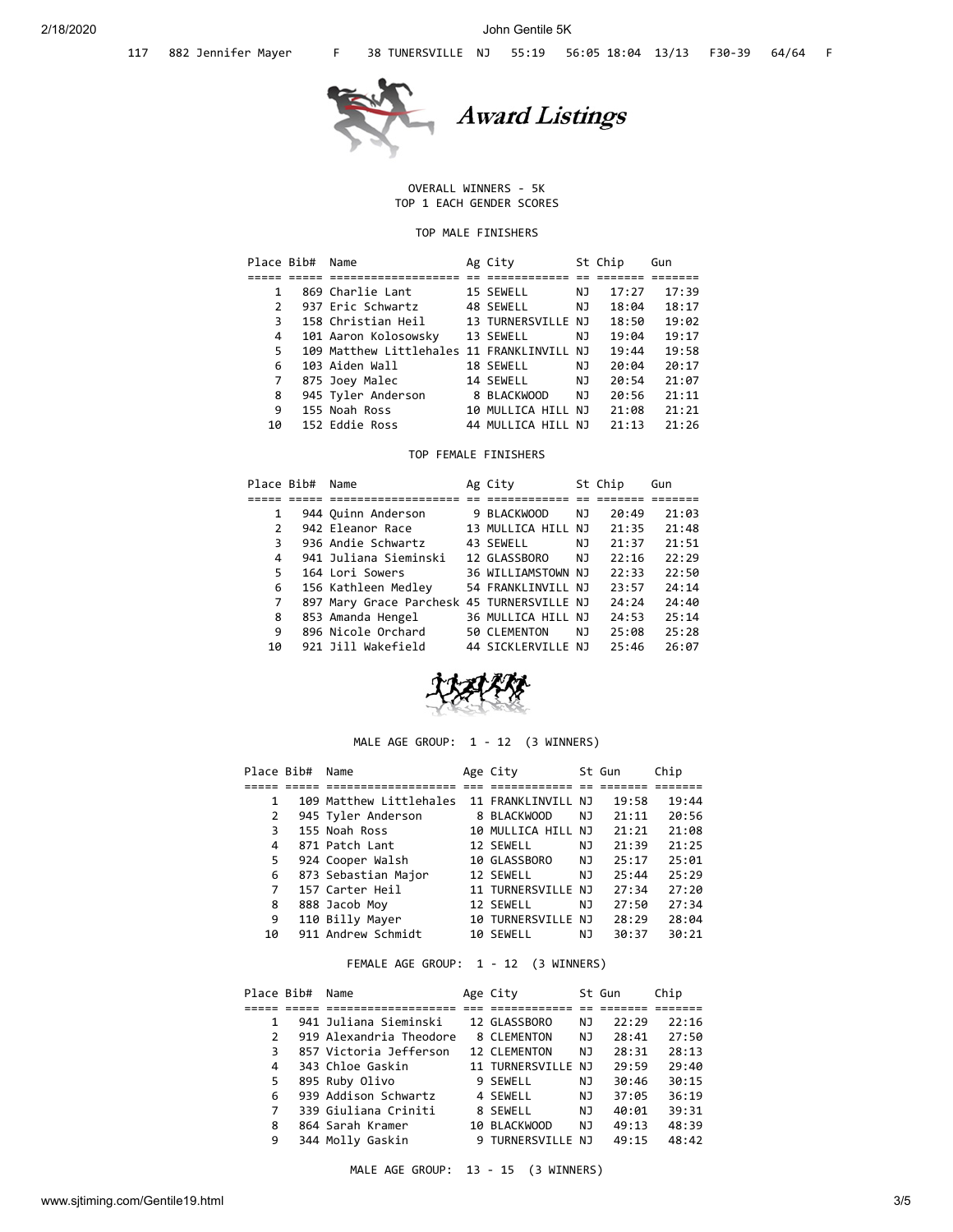

## OVERALL WINNERS - 5K TOP 1 EACH GENDER SCORES

# TOP MALE FINISHERS

|               | Name       |                                                                                                                                                                                  |                                                                                         |                                                                                                              | Gun     |
|---------------|------------|----------------------------------------------------------------------------------------------------------------------------------------------------------------------------------|-----------------------------------------------------------------------------------------|--------------------------------------------------------------------------------------------------------------|---------|
|               |            |                                                                                                                                                                                  |                                                                                         |                                                                                                              |         |
|               |            |                                                                                                                                                                                  | ΝJ                                                                                      | 17:27                                                                                                        | 17:39   |
| $\mathcal{P}$ |            |                                                                                                                                                                                  | NJ                                                                                      | 18:04                                                                                                        | 18:17   |
| 3             |            |                                                                                                                                                                                  |                                                                                         | 18:50                                                                                                        | 19:02   |
| 4             |            |                                                                                                                                                                                  | NJ.                                                                                     | 19:04                                                                                                        | 19:17   |
| 5.            |            |                                                                                                                                                                                  |                                                                                         | 19:44                                                                                                        | 19:58   |
| 6             |            |                                                                                                                                                                                  | NJ                                                                                      | 20:04                                                                                                        | 20:17   |
| 7             |            |                                                                                                                                                                                  | NJ                                                                                      | 20:54                                                                                                        | 21:07   |
| 8             |            |                                                                                                                                                                                  | NJ                                                                                      | 20:56                                                                                                        | 21:11   |
| 9             |            |                                                                                                                                                                                  |                                                                                         | 21:08                                                                                                        | 21:21   |
| 10            |            |                                                                                                                                                                                  |                                                                                         | 21:13                                                                                                        | 21:26   |
|               | Place Bib# | 869 Charlie Lant<br>937 Eric Schwartz<br>158 Christian Heil<br>101 Aaron Kolosowsky<br>103 Aiden Wall<br>875 Joey Malec<br>945 Tyler Anderson<br>155 Noah Ross<br>152 Eddie Ross | Ag City<br>15 SEWELL<br>48 SEWELL<br>13 SEWELL<br>18 SEWELL<br>14 SEWELL<br>8 BLACKWOOD | 13 TURNERSVILLE NJ<br>109 Matthew Littlehales 11 FRANKLINVILL NJ<br>10 MULLICA HILL NJ<br>44 MULLICA HILL NJ | St Chip |

# TOP FEMALE FINISHERS

| Place Bib#   | Name                                       | Ag City            |     | St Chip | Gun   |
|--------------|--------------------------------------------|--------------------|-----|---------|-------|
|              |                                            |                    |     |         |       |
|              | 944 Quinn Anderson                         | 9 BLACKWOOD        | NJ  | 20:49   | 21:03 |
| $\mathbf{2}$ | 942 Eleanor Race                           | 13 MULLICA HILL NJ |     | 21:35   | 21:48 |
| 3            | 936 Andie Schwartz                         | 43 SEWELL          | NJ. | 21:37   | 21:51 |
| 4            | 941 Juliana Sieminski                      | 12 GLASSBORO       | NJ  | 22:16   | 22:29 |
| 5            | 164 Lori Sowers                            | 36 WILLIAMSTOWN NJ |     | 22:33   | 22:50 |
| 6            | 156 Kathleen Medley                        | 54 FRANKLINVILL NJ |     | 23:57   | 24:14 |
| 7            | 897 Mary Grace Parchesk 45 TURNERSVILLE NJ |                    |     | 24:24   | 24:40 |
| 8            | 853 Amanda Hengel                          | 36 MULLICA HILL NJ |     | 24:53   | 25:14 |
| 9            | 896 Nicole Orchard                         | 50 CLEMENTON       | NJ  | 25:08   | 25:28 |
| 10           | 921 Jill Wakefield                         | 44 SICKLERVILLE NJ |     | 25:46   | 26:07 |



# MALE AGE GROUP: 1 - 12 (3 WINNERS)

| Place Bib#     | Name                    | Age City           |     | St Gun | Chip  |
|----------------|-------------------------|--------------------|-----|--------|-------|
|                |                         |                    |     |        |       |
| 1              | 109 Matthew Littlehales | 11 FRANKLINVILL NJ |     | 19:58  | 19:44 |
| $\overline{2}$ | 945 Tyler Anderson      | 8 BLACKWOOD        | NJ. | 21:11  | 20:56 |
| 3              | 155 Noah Ross           | 10 MULLICA HILL NJ |     | 21:21  | 21:08 |
| 4              | 871 Patch Lant          | 12 SEWELL          | ΝJ  | 21:39  | 21:25 |
| 5              | 924 Cooper Walsh        | 10 GLASSBORO       | NJ. | 25:17  | 25:01 |
| 6              | 873 Sebastian Major     | 12 SEWELL          | NJ. | 25:44  | 25:29 |
| 7              | 157 Carter Heil         | 11 TURNERSVILLE NJ |     | 27:34  | 27:20 |
| 8              | 888 Jacob Moy           | 12 SEWELL          | NJ. | 27:50  | 27:34 |
| 9              | 110 Billy Mayer         | 10 TURNERSVILLE NJ |     | 28:29  | 28:04 |
| 10             | 911 Andrew Schmidt      | 10 SEWELL          | NJ  | 30:37  | 30:21 |

# FEMALE AGE GROUP: 1 - 12 (3 WINNERS)

| Place Bib#    | Name                    | Age City           |     | St Gun | Chip  |  |
|---------------|-------------------------|--------------------|-----|--------|-------|--|
|               |                         |                    |     |        |       |  |
|               | 941 Juliana Sieminski   | 12 GLASSBORO       | NJ  | 22:29  | 22:16 |  |
| $\mathcal{P}$ | 919 Alexandria Theodore | 8 CLEMENTON        | NJ  | 28:41  | 27:50 |  |
| 3             | 857 Victoria Jefferson  | 12 CLEMENTON       | NJ  | 28:31  | 28:13 |  |
| 4             | 343 Chloe Gaskin        | 11 TURNERSVILLE NJ |     | 29:59  | 29:40 |  |
| 5             | 895 Ruby Olivo          | 9 SEWELL           | NJ  | 30:46  | 30:15 |  |
| 6             | 939 Addison Schwartz    | 4 SEWELL           | NJ  | 37:05  | 36:19 |  |
| 7             | 339 Giuliana Criniti    | 8 SEWELL           | NJ. | 40:01  | 39:31 |  |
| 8             | 864 Sarah Kramer        | 10 BLACKWOOD       | NJ  | 49:13  | 48:39 |  |
| 9             | 344 Molly Gaskin        | 9 TURNERSVILLE NJ  |     | 49:15  | 48:42 |  |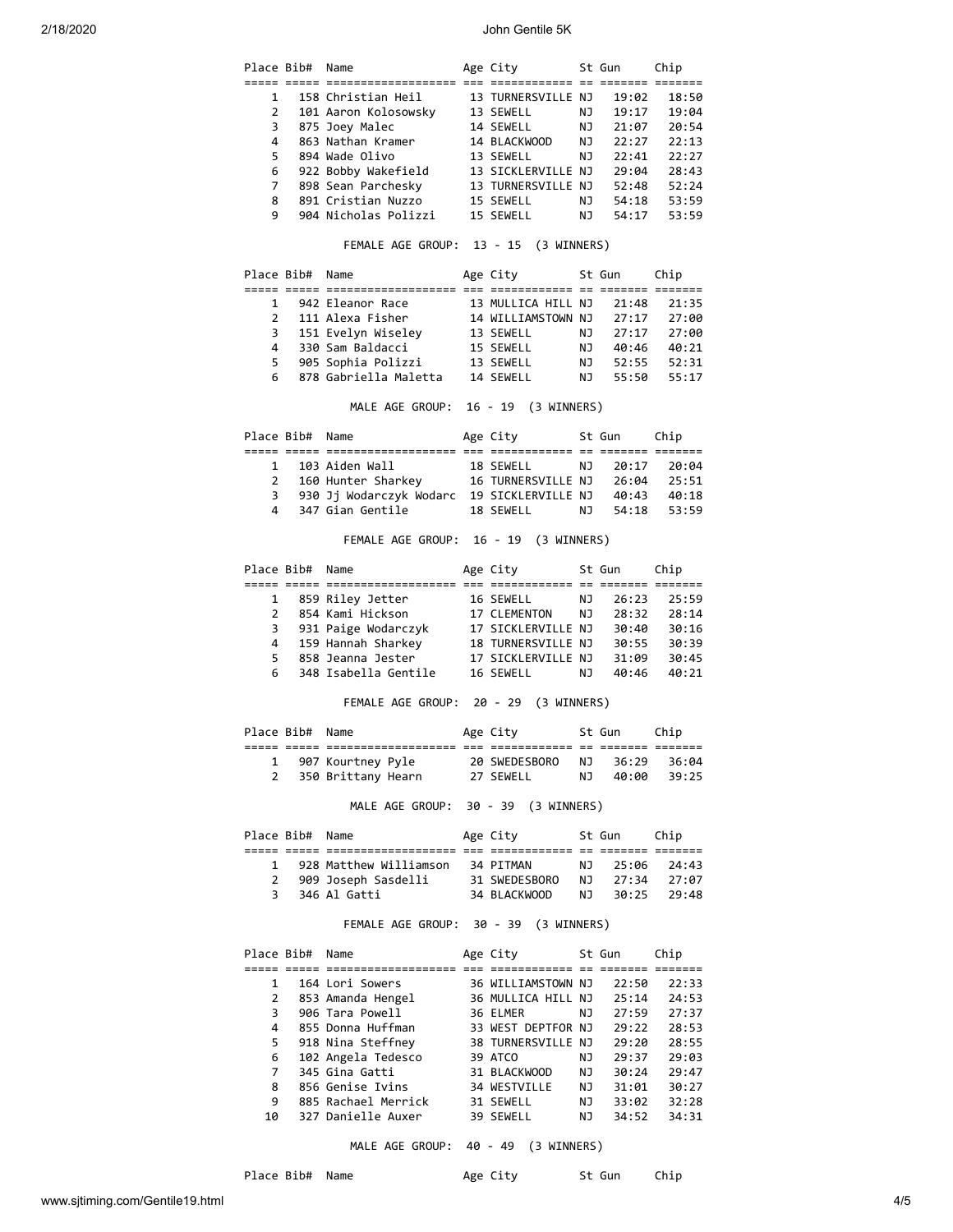# 2/18/2020 John Gentile 5K

|                | Place Bib# | Name                                       | Age City                                 |                 | St Gun                  | Chip           |
|----------------|------------|--------------------------------------------|------------------------------------------|-----------------|-------------------------|----------------|
| 1              |            | 158 Christian Heil                         | 13 TURNERSVILLE NJ                       |                 | 19:02                   | 18:50          |
| 2              |            | 101 Aaron Kolosowsky                       | 13 SEWELL                                | ΝJ              | 19:17                   | 19:04          |
| 3              |            | 875 Joey Malec                             | 14 SEWELL                                | NJ 1            | 21:07                   | 20:54          |
| 4              |            | 863 Nathan Kramer                          | 14 BLACKWOOD                             | NJ              | 22:27                   | 22:13          |
| 5              |            | 894 Wade Olivo                             | 13 SEWELL                                | ΝJ              | 22:41                   | 22:27          |
| 6              |            | 922 Bobby Wakefield                        | 13 SICKLERVILLE NJ                       |                 | 29:04                   | 28:43          |
| 7              |            | 898 Sean Parchesky                         | 13 TURNERSVILLE NJ                       |                 | 52:48                   | 52:24          |
| 8              |            | 891 Cristian Nuzzo                         | 15 SEWELL                                | NJ.             | 54:18                   | 53:59          |
| 9              |            | 904 Nicholas Polizzi                       | 15 SEWELL                                | NJ.             | 54:17                   | 53:59          |
|                |            | FEMALE AGE GROUP: 13 - 15 (3 WINNERS)      |                                          |                 |                         |                |
|                | Place Bib# | Name                                       | Age City                                 |                 | St Gun                  | Chip           |
| 1              |            | 942 Eleanor Race                           | 13 MULLICA HILL NJ                       |                 | 21:48                   |                |
| $\overline{2}$ |            | 111 Alexa Fisher                           |                                          |                 | 27:17                   | 21:35<br>27:00 |
| 3              |            | 151 Evelyn Wiseley                         |                                          |                 | 27:17                   | 27:00          |
| 4              |            | 330 Sam Baldacci                           |                                          | NJ              | 40:46                   | 40:21          |
| 5.             |            | 905 Sophia Polizzi                         | 15 SEWELL<br>13 SEWELL                   | NJ 1            | 52:55                   | 52:31          |
| 6              |            | 878 Gabriella Maletta 14 SEWELL            |                                          | <b>NJ</b>       | 55:50                   | 55:17          |
|                |            | MALE AGE GROUP: 16 - 19 (3 WINNERS)        |                                          |                 |                         |                |
|                | Place Bib# | Name                                       | Age City                                 |                 | St Gun                  | Chip           |
|                |            |                                            |                                          |                 |                         |                |
| $\mathbf{1}$   |            | 103 Aiden Wall                             | 18 SEWELL                                | NJ              | 20:17                   | 20:04          |
| $\mathbf{2}$   |            | 160 Hunter Sharkey 16 TURNERSVILLE NJ      |                                          |                 | 26:04                   | 25:51          |
| 3              |            | 930 Jj Wodarczyk Wodarc 19 SICKLERVILLE NJ |                                          |                 | 40:43                   | 40:18          |
| 4              |            | 347 Gian Gentile                           | 18 SEWELL                                | NJ 1            | 54:18                   | 53:59          |
|                |            | FEMALE AGE GROUP: 16 - 19 (3 WINNERS)      |                                          |                 |                         |                |
| Place Bib#     |            | Name                                       | Age City                                 |                 | St Gun                  | Chip           |
| 1              |            | 859 Riley Jetter                           | 16 SEWELL                                | ΝJ              | 26:23                   | 25:59          |
| 2              |            | 854 Kami Hickson                           | 17 CLEMENTON                             | NJ              | 28:32                   | 28:14          |
| 3              |            | 931 Paige Wodarczyk 17 SICKLERVILLE NJ     |                                          |                 | 30:40                   | 30:16          |
| 4              |            | 159 Hannah Sharkey                         | 18 TURNERSVILLE NJ                       |                 | 30:55                   | 30:39          |
| 5.             |            | 858 Jeanna Jester                          | 17 SICKLERVILLE NJ                       |                 | 31:09                   | 30:45          |
| 6.             |            | 348 Isabella Gentile                       | 16 SEWELL                                | NJ 1            | 40:46                   | 40:21          |
|                |            | FEMALE AGE GROUP: 20 - 29 (3 WINNERS)      |                                          |                 |                         |                |
|                |            |                                            |                                          |                 |                         |                |
|                |            | Name                                       | Age City                                 |                 | St Gun                  | Chip           |
|                |            |                                            | :====== === =======<br>===== == ====     |                 |                         | == ===         |
| 1              |            | 907 Kourtney Pyle                          | 20 SWEDESBORO                            | NJ              | 36:29                   | 36:04          |
| $\overline{2}$ |            | 350 Brittany Hearn 27 SEWELL               |                                          | NJ              | 40:00                   | 39:25          |
| Place Bib#     |            | MALE AGE GROUP: 30 - 39 (3 WINNERS)        |                                          |                 |                         |                |
|                | Place Bib# | Name                                       | Age City                                 |                 | St Gun                  | Chip           |
|                |            |                                            |                                          |                 |                         |                |
| $\mathbf{1}$   |            | 928 Matthew Williamson 34 PITMAN           |                                          | NJ              | 25:06                   | 24:43          |
| 3              |            | 2 909 Joseph Sasdelli<br>346 Al Gatti      | 31 SWEDESBORO<br>34 BLACKWOOD            | <b>NJ</b><br>NJ | 27:34<br>30:25          | 27:07<br>29:48 |
|                |            | FEMALE AGE GROUP: 30 - 39 (3 WINNERS)      |                                          |                 |                         |                |
|                | Place Bib# | Name                                       | Age City                                 |                 | St Gun                  | Chip           |
|                |            |                                            |                                          |                 |                         |                |
| 1              |            | 164 Lori Sowers                            | 36 WILLIAMSTOWN NJ                       |                 | 22:50                   | 22:33          |
| 2              |            | 853 Amanda Hengel                          | 36 MULLICA HILL NJ                       |                 | 25:14                   | 24:53          |
| 3              |            | 906 Tara Powell                            | 36 ELMER                                 | <b>NJ</b>       | 27:59                   | 27:37          |
| 4              |            | 855 Donna Huffman                          |                                          |                 | 29:22                   | 28:53          |
| 5              |            | 918 Nina Steffney                          | 33 WEST DEPTFOR NJ<br>38 TURNERSVILLE NJ |                 | 29:20                   | 28:55          |
| 6              |            | 102 Angela Tedesco                         | 39 ATCO                                  | NJ              | 29:37                   | 29:03          |
| 7              |            | 345 Gina Gatti                             | 31 BLACKWOOD                             | NJ              | 30:24                   | 29:47          |
| 8              |            | 856 Genise Ivins                           | 34 WESTVILLE                             | NJ              | 31:01                   | 30:27          |
| 9<br>10        |            | 885 Rachael Merrick<br>327 Danielle Auxer  | 31 SEWELL<br>39 SEWELL                   | NJ<br>NJ        | 33:02<br>34:52<br>34:52 | 32:28<br>34:31 |

MALE AGE GROUP: 40 - 49 (3 WINNERS)

Place Bib# Name **Age City** St Gun Chip